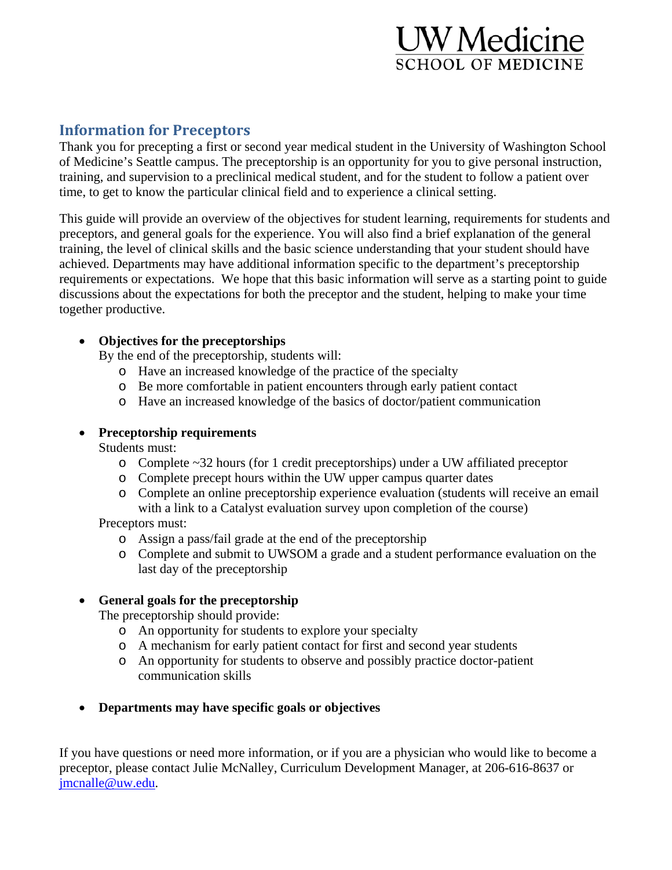# UW Medicine **SCHOOL OF MEDICINE**

## **Information for Preceptors**

Thank you for precepting a first or second year medical student in the University of Washington School of Medicine's Seattle campus. The preceptorship is an opportunity for you to give personal instruction, training, and supervision to a preclinical medical student, and for the student to follow a patient over time, to get to know the particular clinical field and to experience a clinical setting.

This guide will provide an overview of the objectives for student learning, requirements for students and preceptors, and general goals for the experience. You will also find a brief explanation of the general training, the level of clinical skills and the basic science understanding that your student should have achieved. Departments may have additional information specific to the department's preceptorship requirements or expectations. We hope that this basic information will serve as a starting point to guide discussions about the expectations for both the preceptor and the student, helping to make your time together productive.

#### **Objectives for the preceptorships**

By the end of the preceptorship, students will:

- o Have an increased knowledge of the practice of the specialty
- o Be more comfortable in patient encounters through early patient contact
- o Have an increased knowledge of the basics of doctor/patient communication

#### **Preceptorship requirements**

Students must:

- o Complete ~32 hours (for 1 credit preceptorships) under a UW affiliated preceptor
- o Complete precept hours within the UW upper campus quarter dates
- o Complete an online preceptorship experience evaluation (students will receive an email with a link to a Catalyst evaluation survey upon completion of the course)

Preceptors must:

- o Assign a pass/fail grade at the end of the preceptorship
- o Complete and submit to UWSOM a grade and a student performance evaluation on the last day of the preceptorship

### **General goals for the preceptorship**

The preceptorship should provide:

- o An opportunity for students to explore your specialty
- o A mechanism for early patient contact for first and second year students
- o An opportunity for students to observe and possibly practice doctor-patient communication skills
- **Departments may have specific goals or objectives**

If you have questions or need more information, or if you are a physician who would like to become a preceptor, please contact Julie McNalley, Curriculum Development Manager, at 206-616-8637 or jmcnalle@uw.edu.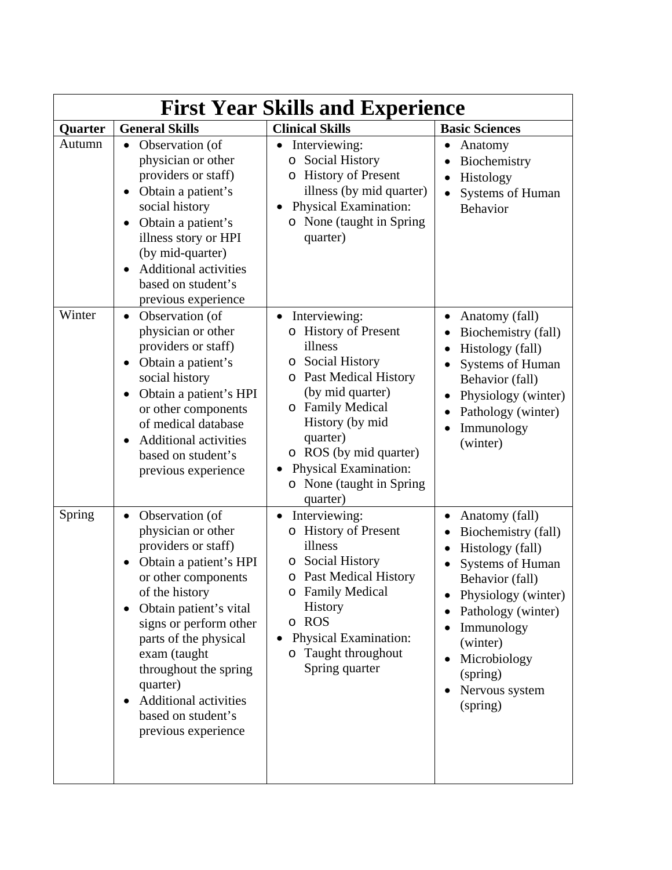| <b>First Year Skills and Experience</b> |                                                                                                                                                                                                                                                                                                                                                                                       |                                                                                                                                                                                                                                                                                                         |                                                                                                                                                                                                                                                                               |  |  |
|-----------------------------------------|---------------------------------------------------------------------------------------------------------------------------------------------------------------------------------------------------------------------------------------------------------------------------------------------------------------------------------------------------------------------------------------|---------------------------------------------------------------------------------------------------------------------------------------------------------------------------------------------------------------------------------------------------------------------------------------------------------|-------------------------------------------------------------------------------------------------------------------------------------------------------------------------------------------------------------------------------------------------------------------------------|--|--|
| Quarter                                 | <b>General Skills</b>                                                                                                                                                                                                                                                                                                                                                                 | <b>Clinical Skills</b>                                                                                                                                                                                                                                                                                  | <b>Basic Sciences</b>                                                                                                                                                                                                                                                         |  |  |
| Autumn                                  | Observation (of<br>physician or other<br>providers or staff)<br>Obtain a patient's<br>social history<br>Obtain a patient's<br>$\bullet$<br>illness story or HPI<br>(by mid-quarter)<br><b>Additional activities</b><br>based on student's<br>previous experience                                                                                                                      | Interviewing:<br><b>Social History</b><br>O<br><b>History of Present</b><br>illness (by mid quarter)<br>Physical Examination:<br>o None (taught in Spring)<br>quarter)                                                                                                                                  | Anatomy<br>Biochemistry<br>Histology<br>Systems of Human<br>Behavior                                                                                                                                                                                                          |  |  |
| Winter                                  | Observation (of<br>$\bullet$<br>physician or other<br>providers or staff)<br>Obtain a patient's<br>social history<br>Obtain a patient's HPI<br>$\bullet$<br>or other components<br>of medical database<br><b>Additional activities</b><br>based on student's<br>previous experience                                                                                                   | Interviewing:<br>$\bullet$<br><b>History of Present</b><br>illness<br><b>Social History</b><br>O<br><b>Past Medical History</b><br>O<br>(by mid quarter)<br>o Family Medical<br>History (by mid<br>quarter)<br>o ROS (by mid quarter)<br>Physical Examination:<br>o None (taught in Spring)<br>quarter) | Anatomy (fall)<br>Biochemistry (fall)<br>$\bullet$<br>Histology (fall)<br>Systems of Human<br>Behavior (fall)<br>Physiology (winter)<br>Pathology (winter)<br>$\bullet$<br>Immunology<br>(winter)                                                                             |  |  |
| Spring                                  | Observation (of<br>$\bullet$<br>physician or other<br>providers or staff)<br>Obtain a patient's HPI<br>or other components<br>of the history<br>Obtain patient's vital<br>$\bullet$<br>signs or perform other<br>parts of the physical<br>exam (taught<br>throughout the spring<br>quarter)<br><b>Additional activities</b><br>$\bullet$<br>based on student's<br>previous experience | Interviewing:<br>$\bullet$<br>o History of Present<br>illness<br>Social History<br>$\circ$<br>o Past Medical History<br>o Family Medical<br>History<br>o ROS<br>Physical Examination:<br>Taught throughout<br>Spring quarter                                                                            | Anatomy (fall)<br>$\bullet$<br>Biochemistry (fall)<br>٠<br>Histology (fall)<br>Systems of Human<br>Behavior (fall)<br>Physiology (winter)<br>Pathology (winter)<br>Immunology<br>(winter)<br>Microbiology<br>$\bullet$<br>(spring)<br>Nervous system<br>$\bullet$<br>(spring) |  |  |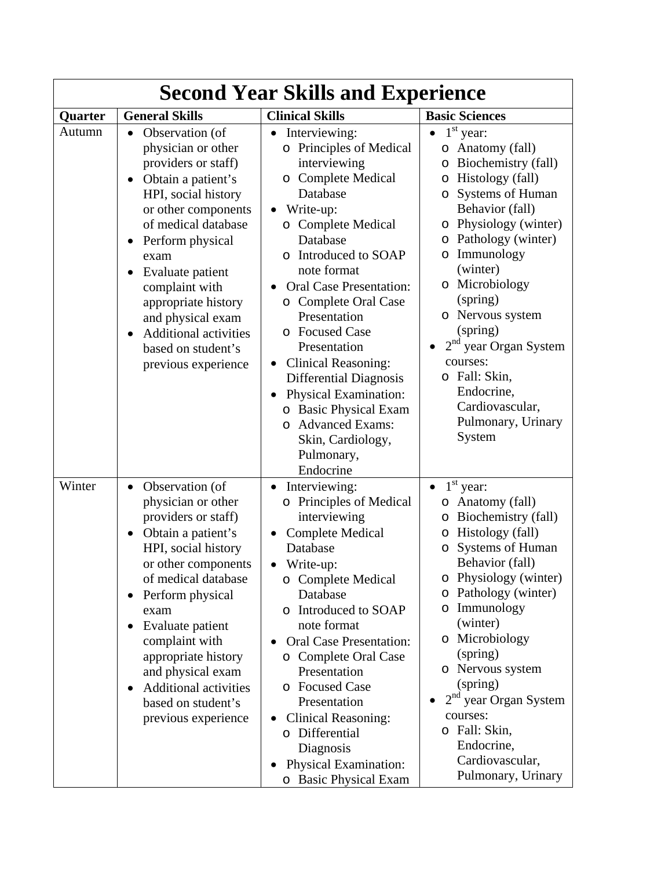| <b>Second Year Skills and Experience</b> |                                                                                                                                                                                                                                                                                                                                                                                                                     |                                                                                                                                                                                                                                                                                                                                                                                                                                                                                                                          |                                                                                                                                                                                                                                                                                                                                                                                                                                        |  |  |  |
|------------------------------------------|---------------------------------------------------------------------------------------------------------------------------------------------------------------------------------------------------------------------------------------------------------------------------------------------------------------------------------------------------------------------------------------------------------------------|--------------------------------------------------------------------------------------------------------------------------------------------------------------------------------------------------------------------------------------------------------------------------------------------------------------------------------------------------------------------------------------------------------------------------------------------------------------------------------------------------------------------------|----------------------------------------------------------------------------------------------------------------------------------------------------------------------------------------------------------------------------------------------------------------------------------------------------------------------------------------------------------------------------------------------------------------------------------------|--|--|--|
| Quarter                                  | <b>General Skills</b>                                                                                                                                                                                                                                                                                                                                                                                               | <b>Clinical Skills</b>                                                                                                                                                                                                                                                                                                                                                                                                                                                                                                   | <b>Basic Sciences</b>                                                                                                                                                                                                                                                                                                                                                                                                                  |  |  |  |
| Autumn                                   | Observation (of<br>$\bullet$<br>physician or other<br>providers or staff)<br>Obtain a patient's<br>HPI, social history<br>or other components<br>of medical database<br>Perform physical<br>$\bullet$<br>exam<br>Evaluate patient<br>$\bullet$<br>complaint with<br>appropriate history<br>and physical exam<br><b>Additional activities</b><br>$\bullet$<br>based on student's<br>previous experience              | Interviewing:<br><b>Principles of Medical</b><br>$\circ$<br>interviewing<br><b>Complete Medical</b><br>O<br>Database<br>Write-up:<br>o Complete Medical<br>Database<br>Introduced to SOAP<br>$\Omega$<br>note format<br><b>Oral Case Presentation:</b><br>o Complete Oral Case<br>Presentation<br>o Focused Case<br>Presentation<br>Clinical Reasoning:<br>Differential Diagnosis<br>Physical Examination:<br>o Basic Physical Exam<br><b>Advanced Exams:</b><br>$\circ$<br>Skin, Cardiology,<br>Pulmonary,<br>Endocrine | 1 <sup>st</sup><br>year:<br>Anatomy (fall)<br>O<br>Biochemistry (fall)<br>O<br>Histology (fall)<br>O<br>Systems of Human<br>O<br>Behavior (fall)<br>Physiology (winter)<br>O<br>Pathology (winter)<br>O<br>Immunology<br>O<br>(winter)<br>Microbiology<br>$\circ$<br>(spring)<br>o Nervous system<br>(spring)<br>$2nd$ year Organ System<br>courses:<br>o Fall: Skin,<br>Endocrine,<br>Cardiovascular,<br>Pulmonary, Urinary<br>System |  |  |  |
| Winter                                   | Observation (of<br>$\bullet$<br>physician or other<br>providers or staff)<br>Obtain a patient's<br>$\bullet$<br>HPI, social history<br>or other components<br>of medical database<br>Perform physical<br>$\bullet$<br>exam<br>Evaluate patient<br>$\bullet$<br>complaint with<br>appropriate history<br>and physical exam<br><b>Additional activities</b><br>$\bullet$<br>based on student's<br>previous experience | Interviewing:<br>o Principles of Medical<br>interviewing<br><b>Complete Medical</b><br>Database<br>Write-up:<br>o Complete Medical<br>Database<br>o Introduced to SOAP<br>note format<br><b>Oral Case Presentation:</b><br>o Complete Oral Case<br>Presentation<br>o Focused Case<br>Presentation<br><b>Clinical Reasoning:</b><br>o Differential<br>Diagnosis<br>Physical Examination:<br>o Basic Physical Exam                                                                                                         | $1st$ year:<br>$\bullet$<br>Anatomy (fall)<br>$\circ$<br>Biochemistry (fall)<br>O<br>Histology (fall)<br>O<br>Systems of Human<br>O<br>Behavior (fall)<br>o Physiology (winter)<br>Pathology (winter)<br>O<br>Immunology<br>O<br>(winter)<br>o Microbiology<br>(spring)<br>o Nervous system<br>(spring)<br>$2nd$ year Organ System<br>courses:<br>o Fall: Skin,<br>Endocrine,<br>Cardiovascular,<br>Pulmonary, Urinary                 |  |  |  |